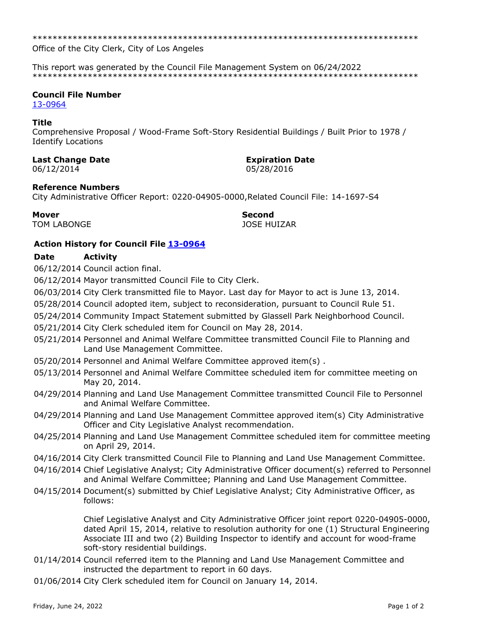Office of the City Clerk, City of Los Angeles

This report was generated by the Council File Management System on 06/24/2022 

## **Council File Number**

13-0964

## **Title**

Comprehensive Proposal / Wood-Frame Soft-Story Residential Buildings / Built Prior to 1978 / **Identify Locations** 

## **Last Change Date**

06/12/2014

# **Expiration Date**

05/28/2016

## **Reference Numbers**

City Administrative Officer Report: 0220-04905-0000, Related Council File: 14-1697-S4

**Mover TOM LABONGE**  **Second JOSE HUIZAR** 

# **Action History for Council File 13-0964**

#### **Date Activity**

06/12/2014 Council action final.

06/12/2014 Mayor transmitted Council File to City Clerk.

06/03/2014 City Clerk transmitted file to Mayor. Last day for Mayor to act is June 13, 2014.

05/28/2014 Council adopted item, subject to reconsideration, pursuant to Council Rule 51.

- 05/24/2014 Community Impact Statement submitted by Glassell Park Neighborhood Council.
- 05/21/2014 City Clerk scheduled item for Council on May 28, 2014.
- 05/21/2014 Personnel and Animal Welfare Committee transmitted Council File to Planning and Land Use Management Committee.
- 05/20/2014 Personnel and Animal Welfare Committee approved item(s).
- 05/13/2014 Personnel and Animal Welfare Committee scheduled item for committee meeting on May 20, 2014.
- 04/29/2014 Planning and Land Use Management Committee transmitted Council File to Personnel and Animal Welfare Committee.
- 04/29/2014 Planning and Land Use Management Committee approved item(s) City Administrative Officer and City Legislative Analyst recommendation.
- 04/25/2014 Planning and Land Use Management Committee scheduled item for committee meeting on April 29, 2014.
- 04/16/2014 City Clerk transmitted Council File to Planning and Land Use Management Committee.
- 04/16/2014 Chief Legislative Analyst; City Administrative Officer document(s) referred to Personnel and Animal Welfare Committee; Planning and Land Use Management Committee.
- 04/15/2014 Document(s) submitted by Chief Legislative Analyst; City Administrative Officer, as follows:

Chief Legislative Analyst and City Administrative Officer joint report 0220-04905-0000, dated April 15, 2014, relative to resolution authority for one (1) Structural Engineering Associate III and two (2) Building Inspector to identify and account for wood-frame soft-story residential buildings.

- 01/14/2014 Council referred item to the Planning and Land Use Management Committee and instructed the department to report in 60 days.
- 01/06/2014 City Clerk scheduled item for Council on January 14, 2014.